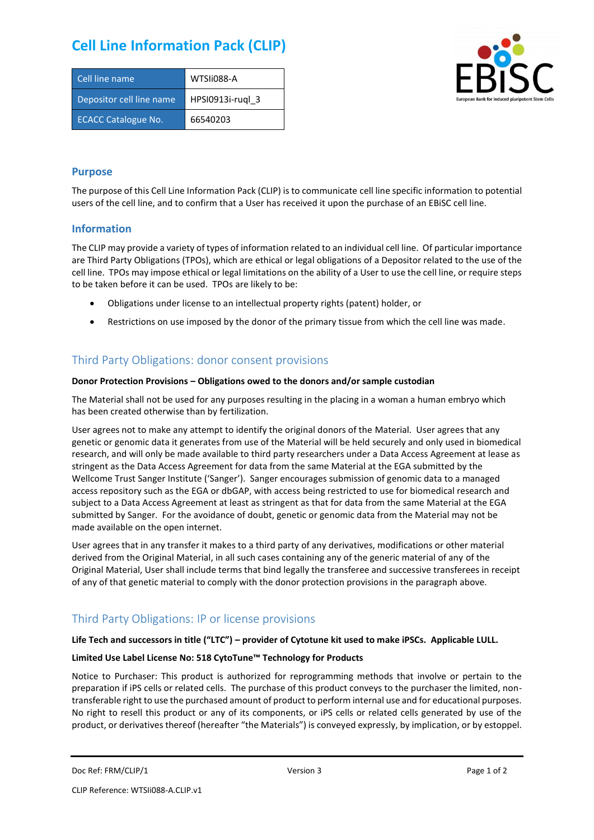# **Cell Line Information Pack (CLIP)**

| Cell line name             | WTSIi088-A       |
|----------------------------|------------------|
| Depositor cell line name   | HPSI0913i-rugl 3 |
| <b>ECACC Catalogue No.</b> | 66540203         |



### **Purpose**

The purpose of this Cell Line Information Pack (CLIP) is to communicate cell line specific information to potential users of the cell line, and to confirm that a User has received it upon the purchase of an EBiSC cell line.

### **Information**

The CLIP may provide a variety of types of information related to an individual cell line. Of particular importance are Third Party Obligations (TPOs), which are ethical or legal obligations of a Depositor related to the use of the cell line. TPOs may impose ethical or legal limitations on the ability of a User to use the cell line, or require steps to be taken before it can be used. TPOs are likely to be:

- Obligations under license to an intellectual property rights (patent) holder, or
- Restrictions on use imposed by the donor of the primary tissue from which the cell line was made.

## Third Party Obligations: donor consent provisions

#### **Donor Protection Provisions – Obligations owed to the donors and/or sample custodian**

The Material shall not be used for any purposes resulting in the placing in a woman a human embryo which has been created otherwise than by fertilization.

User agrees not to make any attempt to identify the original donors of the Material. User agrees that any genetic or genomic data it generates from use of the Material will be held securely and only used in biomedical research, and will only be made available to third party researchers under a Data Access Agreement at lease as stringent as the Data Access Agreement for data from the same Material at the EGA submitted by the Wellcome Trust Sanger Institute ('Sanger'). Sanger encourages submission of genomic data to a managed access repository such as the EGA or dbGAP, with access being restricted to use for biomedical research and subject to a Data Access Agreement at least as stringent as that for data from the same Material at the EGA submitted by Sanger. For the avoidance of doubt, genetic or genomic data from the Material may not be made available on the open internet.

User agrees that in any transfer it makes to a third party of any derivatives, modifications or other material derived from the Original Material, in all such cases containing any of the generic material of any of the Original Material, User shall include terms that bind legally the transferee and successive transferees in receipt of any of that genetic material to comply with the donor protection provisions in the paragraph above.

# Third Party Obligations: IP or license provisions

#### **Life Tech and successors in title ("LTC") – provider of Cytotune kit used to make iPSCs. Applicable LULL.**

### **Limited Use Label License No: 518 CytoTune™ Technology for Products**

Notice to Purchaser: This product is authorized for reprogramming methods that involve or pertain to the preparation if iPS cells or related cells. The purchase of this product conveys to the purchaser the limited, nontransferable right to use the purchased amount of product to perform internal use and for educational purposes. No right to resell this product or any of its components, or iPS cells or related cells generated by use of the product, or derivatives thereof (hereafter "the Materials") is conveyed expressly, by implication, or by estoppel.

```
Doc Ref: FRM/CLIP/1 Doce Ref: FRM/CLIP/1 Page 1 of 2 Version 3 Page 1 of 2 Page 1 of 2
```